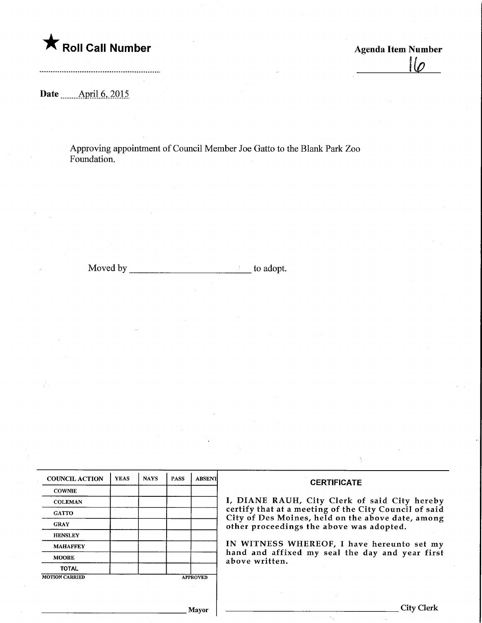

 $I\varphi$ 

Date ........ April. 6, 2015

Approving appointment of Council Member Joe Gatto to the Blank Park Zoo Foundation.

Moved by to adopt.

| <b>COUNCIL ACTION</b> | <b>YEAS</b> | <b>NAYS</b> | <b>PASS</b> | <b>ABSENT</b>   | <b>CERTIFICATE</b>                                                                            |  |  |
|-----------------------|-------------|-------------|-------------|-----------------|-----------------------------------------------------------------------------------------------|--|--|
| <b>COWNIE</b>         |             |             |             |                 |                                                                                               |  |  |
| <b>COLEMAN</b>        |             |             |             |                 | I, DIANE RAUH, City Clerk of said City hereby                                                 |  |  |
| <b>GATTO</b>          |             |             |             |                 | certify that at a meeting of the City Council of said                                         |  |  |
| <b>GRAY</b>           |             |             |             |                 | City of Des Moines, held on the above date, among<br>other proceedings the above was adopted. |  |  |
| <b>HENSLEY</b>        |             |             |             |                 |                                                                                               |  |  |
| <b>MAHAFFEY</b>       |             |             |             |                 | IN WITNESS WHEREOF, I have hereunto set my                                                    |  |  |
| <b>MOORE</b>          |             |             |             |                 | hand and affixed my seal the day and year first<br>above written.                             |  |  |
| <b>TOTAL</b>          |             |             |             |                 |                                                                                               |  |  |
| <b>MOTION CARRIED</b> |             |             |             | <b>APPROVED</b> |                                                                                               |  |  |
|                       |             |             |             |                 |                                                                                               |  |  |
|                       |             |             |             |                 |                                                                                               |  |  |
|                       |             |             |             | Mavor           | City Clerl                                                                                    |  |  |

 $\sigma_{\chi}$